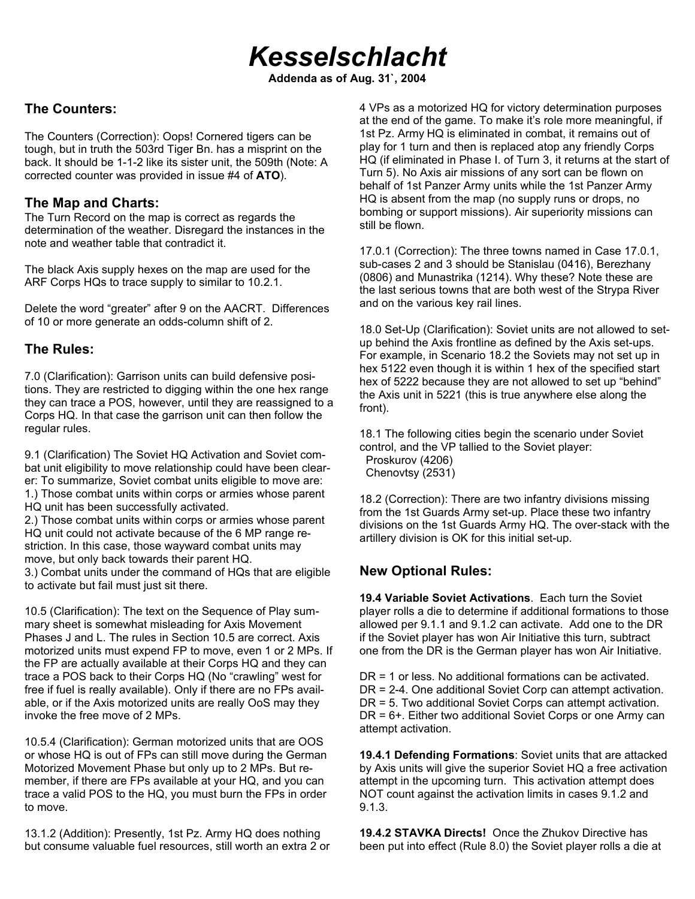# *Kesselschlacht*

**Addenda as of Aug. 31`, 2004**

### **The Counters:**

The Counters (Correction): Oops! Cornered tigers can be tough, but in truth the 503rd Tiger Bn. has a misprint on the back. It should be 1-1-2 like its sister unit, the 509th (Note: A corrected counter was provided in issue #4 of **ATO**).

#### **The Map and Charts:**

The Turn Record on the map is correct as regards the determination of the weather. Disregard the instances in the note and weather table that contradict it.

The black Axis supply hexes on the map are used for the ARF Corps HQs to trace supply to similar to 10.2.1.

Delete the word "greater" after 9 on the AACRT. Differences of 10 or more generate an odds-column shift of 2.

#### **The Rules:**

7.0 (Clarification): Garrison units can build defensive positions. They are restricted to digging within the one hex range they can trace a POS, however, until they are reassigned to a Corps HQ. In that case the garrison unit can then follow the regular rules.

9.1 (Clarification) The Soviet HQ Activation and Soviet combat unit eligibility to move relationship could have been clearer: To summarize, Soviet combat units eligible to move are: 1.) Those combat units within corps or armies whose parent HQ unit has been successfully activated.

2.) Those combat units within corps or armies whose parent HQ unit could not activate because of the 6 MP range restriction. In this case, those wayward combat units may move, but only back towards their parent HQ. 3.) Combat units under the command of HQs that are eligible

to activate but fail must just sit there.

10.5 (Clarification): The text on the Sequence of Play summary sheet is somewhat misleading for Axis Movement Phases J and L. The rules in Section 10.5 are correct. Axis motorized units must expend FP to move, even 1 or 2 MPs. If the FP are actually available at their Corps HQ and they can trace a POS back to their Corps HQ (No "crawling" west for free if fuel is really available). Only if there are no FPs available, or if the Axis motorized units are really OoS may they invoke the free move of 2 MPs.

10.5.4 (Clarification): German motorized units that are OOS or whose HQ is out of FPs can still move during the German Motorized Movement Phase but only up to 2 MPs. But remember, if there are FPs available at your HQ, and you can trace a valid POS to the HQ, you must burn the FPs in order to move.

13.1.2 (Addition): Presently, 1st Pz. Army HQ does nothing but consume valuable fuel resources, still worth an extra 2 or 4 VPs as a motorized HQ for victory determination purposes at the end of the game. To make it's role more meaningful, if 1st Pz. Army HQ is eliminated in combat, it remains out of play for 1 turn and then is replaced atop any friendly Corps HQ (if eliminated in Phase I. of Turn 3, it returns at the start of Turn 5). No Axis air missions of any sort can be flown on behalf of 1st Panzer Army units while the 1st Panzer Army HQ is absent from the map (no supply runs or drops, no bombing or support missions). Air superiority missions can still be flown.

17.0.1 (Correction): The three towns named in Case 17.0.1, sub-cases 2 and 3 should be Stanislau (0416), Berezhany (0806) and Munastrika (1214). Why these? Note these are the last serious towns that are both west of the Strypa River and on the various key rail lines.

18.0 Set-Up (Clarification): Soviet units are not allowed to setup behind the Axis frontline as defined by the Axis set-ups. For example, in Scenario 18.2 the Soviets may not set up in hex 5122 even though it is within 1 hex of the specified start hex of 5222 because they are not allowed to set up "behind" the Axis unit in 5221 (this is true anywhere else along the front).

18.1 The following cities begin the scenario under Soviet control, and the VP tallied to the Soviet player: Proskurov (4206) Chenovtsy (2531)

18.2 (Correction): There are two infantry divisions missing from the 1st Guards Army set-up. Place these two infantry divisions on the 1st Guards Army HQ. The over-stack with the artillery division is OK for this initial set-up.

## **New Optional Rules:**

**19.4 Variable Soviet Activations**. Each turn the Soviet player rolls a die to determine if additional formations to those allowed per 9.1.1 and 9.1.2 can activate. Add one to the DR if the Soviet player has won Air Initiative this turn, subtract one from the DR is the German player has won Air Initiative.

DR = 1 or less. No additional formations can be activated. DR = 2-4. One additional Soviet Corp can attempt activation. DR = 5. Two additional Soviet Corps can attempt activation. DR = 6+. Either two additional Soviet Corps or one Army can attempt activation.

**19.4.1 Defending Formations**: Soviet units that are attacked by Axis units will give the superior Soviet HQ a free activation attempt in the upcoming turn. This activation attempt does NOT count against the activation limits in cases 9.1.2 and 9.1.3.

**19.4.2 STAVKA Directs!** Once the Zhukov Directive has been put into effect (Rule 8.0) the Soviet player rolls a die at